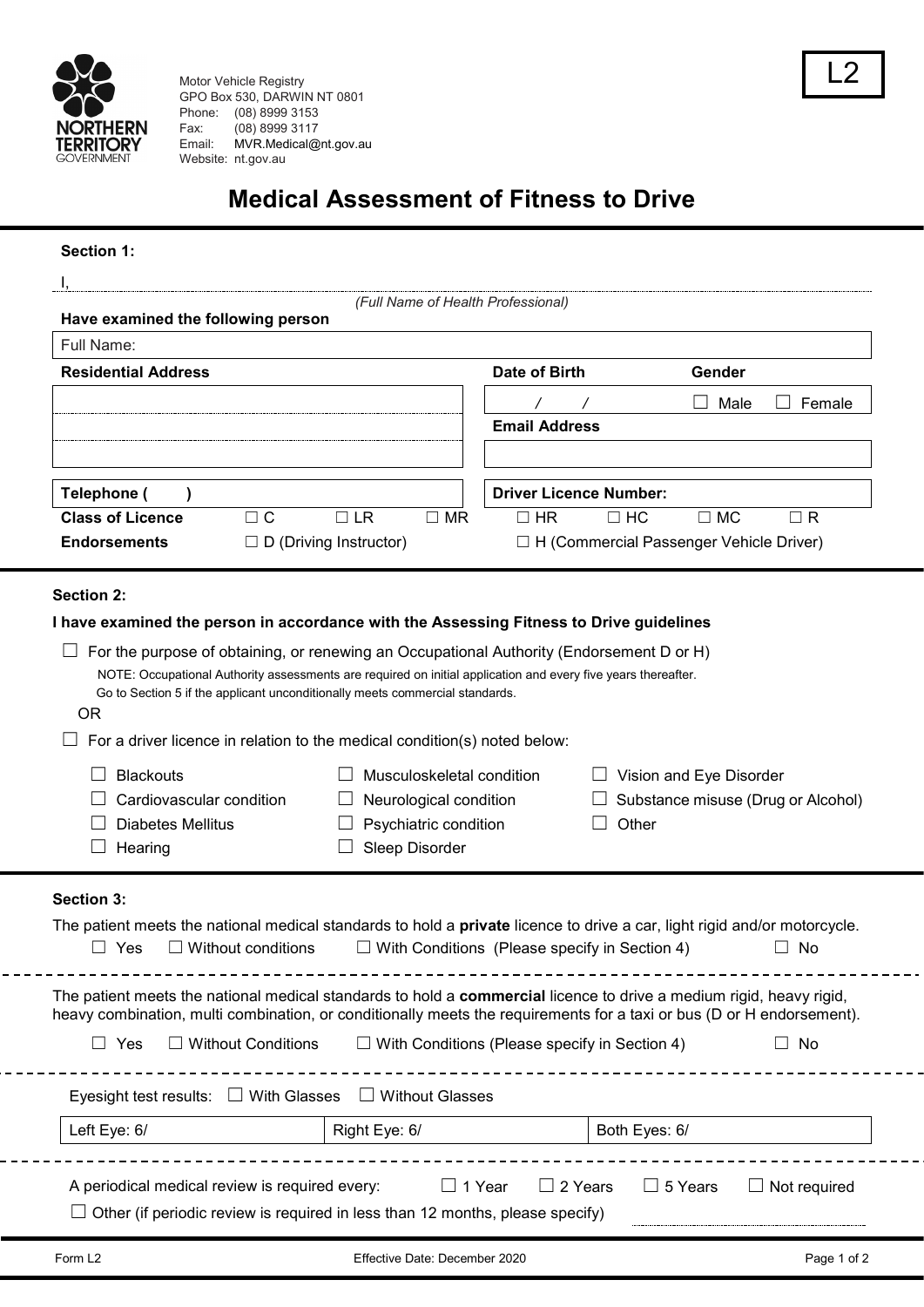

Motor Vehicle Registry GPO Box 530, DARWIN NT 0801 Phone: (08) 8999 3153<br>Fax: (08) 8999 3117  $(08)$  8999 3117 Email: MVR.Medical@nt.gov.au Website: [nt.gov.au](http://www.mvr.nt.gov.au/)

# **Medical Assessment of Fitness to Drive**

### **Section 1:**

| Have examined the following person                                                                                                      |                                                                                                               |               |                        | (Full Name of Health Professional)                            |                                                |                |                     |
|-----------------------------------------------------------------------------------------------------------------------------------------|---------------------------------------------------------------------------------------------------------------|---------------|------------------------|---------------------------------------------------------------|------------------------------------------------|----------------|---------------------|
| Full Name:                                                                                                                              |                                                                                                               |               |                        |                                                               |                                                |                |                     |
| <b>Residential Address</b>                                                                                                              |                                                                                                               |               |                        | Date of Birth                                                 |                                                | Gender         |                     |
|                                                                                                                                         |                                                                                                               |               |                        |                                                               |                                                | Male<br>$\Box$ | Female              |
|                                                                                                                                         |                                                                                                               |               |                        | <b>Email Address</b>                                          |                                                |                |                     |
|                                                                                                                                         |                                                                                                               |               |                        |                                                               |                                                |                |                     |
| Telephone (                                                                                                                             |                                                                                                               |               |                        |                                                               | <b>Driver Licence Number:</b>                  |                |                     |
| <b>Class of Licence</b>                                                                                                                 | $\Box$ C                                                                                                      | $\Box$ LR     | $\Box$ MR              | $\Box$ HR                                                     | $\Box$ HC                                      | $\Box$ MC      | $\Box$ R            |
| <b>Endorsements</b>                                                                                                                     | $\Box$ D (Driving Instructor)                                                                                 |               |                        |                                                               | $\Box$ H (Commercial Passenger Vehicle Driver) |                |                     |
|                                                                                                                                         |                                                                                                               |               |                        |                                                               |                                                |                |                     |
| <b>Section 2:</b>                                                                                                                       |                                                                                                               |               |                        |                                                               |                                                |                |                     |
| I have examined the person in accordance with the Assessing Fitness to Drive guidelines                                                 |                                                                                                               |               |                        |                                                               |                                                |                |                     |
| For the purpose of obtaining, or renewing an Occupational Authority (Endorsement D or H)                                                |                                                                                                               |               |                        |                                                               |                                                |                |                     |
|                                                                                                                                         | NOTE: Occupational Authority assessments are required on initial application and every five years thereafter. |               |                        |                                                               |                                                |                |                     |
|                                                                                                                                         | Go to Section 5 if the applicant unconditionally meets commercial standards.                                  |               |                        |                                                               |                                                |                |                     |
| <b>OR</b>                                                                                                                               |                                                                                                               |               |                        |                                                               |                                                |                |                     |
| For a driver licence in relation to the medical condition(s) noted below:                                                               |                                                                                                               |               |                        |                                                               |                                                |                |                     |
|                                                                                                                                         |                                                                                                               |               |                        |                                                               |                                                |                |                     |
| <b>Blackouts</b><br>Musculoskeletal condition                                                                                           |                                                                                                               |               |                        | Vision and Eye Disorder<br>Substance misuse (Drug or Alcohol) |                                                |                |                     |
| Cardiovascular condition                                                                                                                |                                                                                                               |               | Neurological condition |                                                               |                                                |                |                     |
| <b>Diabetes Mellitus</b>                                                                                                                |                                                                                                               |               | Psychiatric condition  |                                                               | Other                                          |                |                     |
| Hearing                                                                                                                                 |                                                                                                               |               | Sleep Disorder         |                                                               |                                                |                |                     |
| <b>Section 3:</b>                                                                                                                       |                                                                                                               |               |                        |                                                               |                                                |                |                     |
|                                                                                                                                         |                                                                                                               |               |                        |                                                               |                                                |                |                     |
| The patient meets the national medical standards to hold a private licence to drive a car, light rigid and/or motorcycle.<br>$\Box$ Yes | $\Box$ Without conditions                                                                                     |               |                        | $\Box$ With Conditions (Please specify in Section 4)          |                                                |                | No<br>$\Box$        |
|                                                                                                                                         |                                                                                                               |               |                        |                                                               |                                                |                |                     |
| The patient meets the national medical standards to hold a commercial licence to drive a medium rigid, heavy rigid,                     |                                                                                                               |               |                        |                                                               |                                                |                |                     |
| heavy combination, multi combination, or conditionally meets the requirements for a taxi or bus (D or H endorsement).                   |                                                                                                               |               |                        |                                                               |                                                |                |                     |
| $\Box$ Yes                                                                                                                              | $\Box$ Without Conditions                                                                                     |               |                        | $\Box$ With Conditions (Please specify in Section 4)          |                                                |                | $\Box$ No           |
|                                                                                                                                         |                                                                                                               |               |                        |                                                               |                                                |                |                     |
|                                                                                                                                         |                                                                                                               |               | $\Box$ Without Glasses |                                                               |                                                |                |                     |
| Eyesight test results: $\Box$ With Glasses                                                                                              |                                                                                                               |               |                        |                                                               |                                                |                |                     |
| Left Eye: 6/                                                                                                                            |                                                                                                               | Right Eye: 6/ |                        |                                                               | Both Eyes: 6/                                  |                |                     |
|                                                                                                                                         |                                                                                                               |               |                        |                                                               |                                                |                |                     |
| A periodical medical review is required every:<br>$\Box$ Other (if periodic review is required in less than 12 months, please specify)  |                                                                                                               |               | $\Box$ 1 Year          | $\Box$ 2 Years                                                |                                                | $\Box$ 5 Years | $\Box$ Not required |